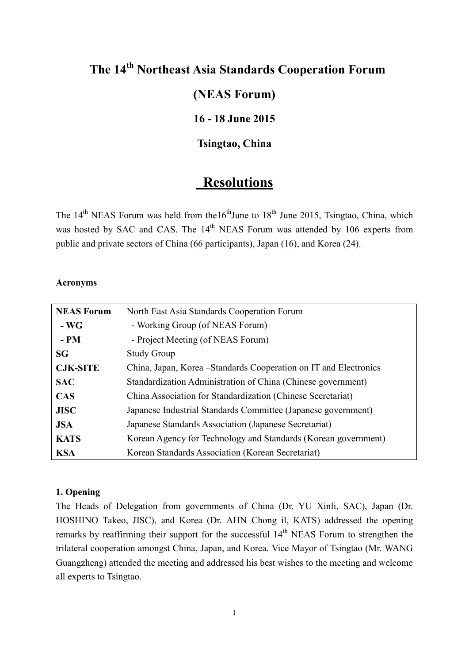# **The 14 th Northeast Asia Standards Cooperation Forum**

## **(NEAS Forum)**

## **16 - 18 June 2015**

## **Tsingtao, China**

## **Resolutions**

The 14<sup>th</sup> NEAS Forum was held from the16<sup>th</sup>June to 18<sup>th</sup> June 2015, Tsingtao, China, which was hosted by SAC and CAS. The 14<sup>th</sup> NEAS Forum was attended by 106 experts from public and private sectors of China (66 participants), Japan (16), and Korea (24).

## **Acronyms**

| <b>NEAS Forum</b> | North East Asia Standards Cooperation Forum                       |
|-------------------|-------------------------------------------------------------------|
| $-WG$             | - Working Group (of NEAS Forum)                                   |
| $- PM$            | - Project Meeting (of NEAS Forum)                                 |
| <b>SG</b>         | <b>Study Group</b>                                                |
| <b>CJK-SITE</b>   | China, Japan, Korea – Standards Cooperation on IT and Electronics |
| <b>SAC</b>        | Standardization Administration of China (Chinese government)      |
| <b>CAS</b>        | China Association for Standardization (Chinese Secretariat)       |
| <b>JISC</b>       | Japanese Industrial Standards Committee (Japanese government)     |
| <b>JSA</b>        | Japanese Standards Association (Japanese Secretariat)             |
| <b>KATS</b>       | Korean Agency for Technology and Standards (Korean government)    |
| <b>KSA</b>        | Korean Standards Association (Korean Secretariat)                 |

#### **1. Opening**

The Heads of Delegation from governments of China (Dr. YU Xinli, SAC), Japan (Dr. HOSHINO Takeo, JISC), and Korea (Dr. AHN Chong il, KATS) addressed the opening remarks by reaffirming their support for the successful  $14<sup>th</sup>$  NEAS Forum to strengthen the trilateral cooperation amongst China, Japan, and Korea. Vice Mayor of Tsingtao (Mr. WANG Guangzheng) attended the meeting and addressed his best wishes to the meeting and welcome all experts to Tsingtao.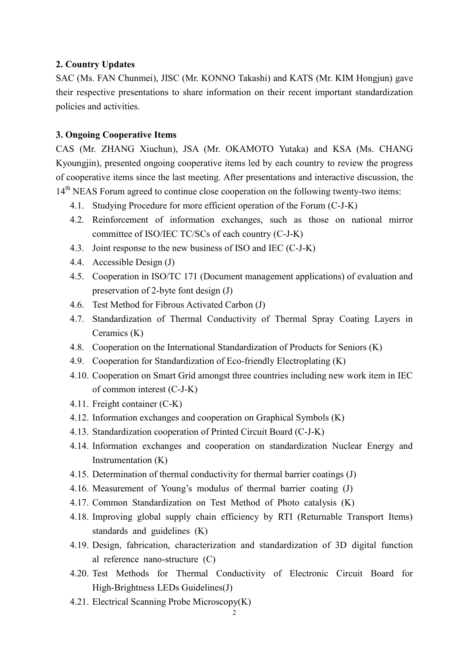#### **2. Country Updates**

SAC (Ms. FAN Chunmei), JISC (Mr. KONNO Takashi) and KATS (Mr. KIM Hongjun) gave their respective presentations to share information on their recent important standardization policies and activities.

#### **3. Ongoing Cooperative Items**

CAS (Mr. ZHANG Xiuchun), JSA (Mr. OKAMOTO Yutaka) and KSA (Ms. CHANG Kyoungjin), presented ongoing cooperative items led by each country to review the progress of cooperative items since the last meeting. After presentations and interactive discussion, the 14<sup>th</sup> NEAS Forum agreed to continue close cooperation on the following twenty-two items:

- 4.1. Studying Procedure for more efficient operation of the Forum (C-J-K)
- 4.2. Reinforcement of information exchanges, such as those on national mirror committee of ISO/IEC TC/SCs of each country (C-J-K)
- 4.3. Joint response to the new business of ISO and IEC (C-J-K)
- 4.4. Accessible Design (J)
- 4.5. Cooperation in ISO/TC 171 (Document management applications) of evaluation and preservation of 2-byte font design (J)
- 4.6. Test Method for Fibrous Activated Carbon (J)
- 4.7. Standardization of Thermal Conductivity of Thermal Spray Coating Layers in Ceramics (K)
- 4.8. Cooperation on the International Standardization of Products for Seniors (K)
- 4.9. Cooperation for Standardization of Eco-friendly Electroplating (K)
- 4.10. Cooperation on Smart Grid amongst three countries including new work item in IEC of common interest (C-J-K)
- 4.11. Freight container (C-K)
- 4.12. Information exchanges and cooperation on Graphical Symbols (K)
- 4.13. Standardization cooperation of Printed Circuit Board (C-J-K)
- 4.14. Information exchanges and cooperation on standardization Nuclear Energy and Instrumentation (K)
- 4.15. Determination of thermal conductivity for thermal barrier coatings (J)
- 4.16. Measurement of Young's modulus of thermal barrier coating (J)
- 4.17. Common Standardization on Test Method of Photo catalysis (K)
- 4.18. Improving global supply chain efficiency by RTI (Returnable Transport Items) standards and guidelines (K)
- 4.19. Design, fabrication, characterization and standardization of 3D digital function al reference nano-structure (C)
- 4.20. Test Methods for Thermal Conductivity of Electronic Circuit Board for High-Brightness LEDs Guidelines(J)
- 4.21. Electrical Scanning Probe Microscopy(K)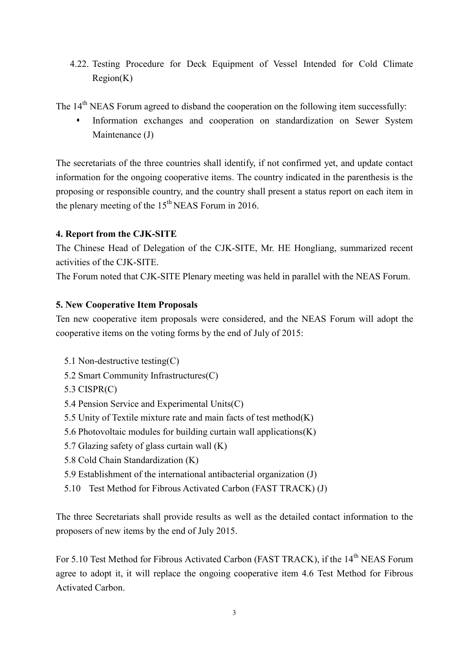4.22. Testing Procedure for Deck Equipment of Vessel Intended for Cold Climate Region(K)

The 14<sup>th</sup> NEAS Forum agreed to disband the cooperation on the following item successfully:

 Information exchanges and cooperation on standardization on Sewer System Maintenance (J)

The secretariats of the three countries shall identify, if not confirmed yet, and update contact information for the ongoing cooperative items. The country indicated in the parenthesis is the proposing or responsible country, and the country shall present a status report on each item in the plenary meeting of the  $15<sup>th</sup> NEAS$  Forum in 2016.

## **4. Report from the CJK-SITE**

The Chinese Head of Delegation of the CJK-SITE, Mr. HE Hongliang, summarized recent activities of the CJK-SITE.

The Forum noted that CJK-SITE Plenary meeting was held in parallel with the NEAS Forum.

## **5. New Cooperative Item Proposals**

Ten new cooperative item proposals were considered, and the NEAS Forum will adopt the cooperative items on the voting forms by the end of July of 2015:

- 5.1 Non-destructive testing(C)
- 5.2 Smart Community Infrastructures(C)
- 5.3 CISPR(C)
- 5.4 Pension Service and Experimental Units(C)
- 5.5 Unity of Textile mixture rate and main facts of test method(K)
- 5.6 Photovoltaic modules for building curtain wall applications(K)
- 5.7 Glazing safety of glass curtain wall (K)
- 5.8 Cold Chain Standardization (K)
- 5.9 Establishment of the international antibacterial organization (J)
- 5.10 Test Method for Fibrous Activated Carbon (FAST TRACK) (J)

The three Secretariats shall provide results as well as the detailed contact information to the proposers of new items by the end of July 2015.

For 5.10 Test Method for Fibrous Activated Carbon (FAST TRACK), if the 14<sup>th</sup> NEAS Forum agree to adopt it, it will replace the ongoing cooperative item 4.6 Test Method for Fibrous Activated Carbon.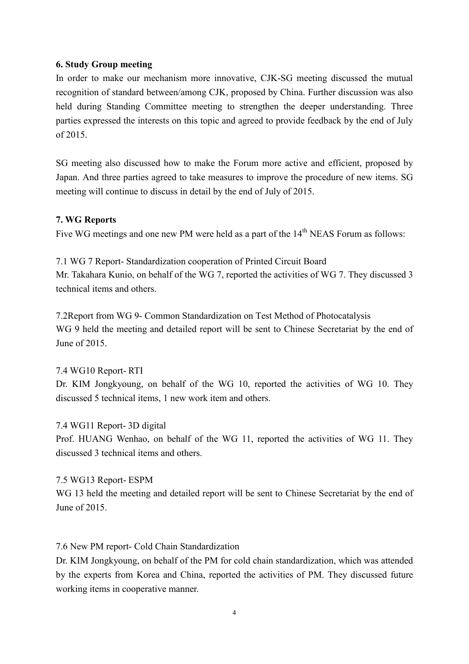#### **6. Study Group meeting**

In order to make our mechanism more innovative, CJK-SG meeting discussed the mutual recognition of standard between/among CJK, proposed by China. Further discussion was also held during Standing Committee meeting to strengthen the deeper understanding. Three parties expressed the interests on this topic and agreed to provide feedback by the end of July of 2015.

SG meeting also discussed how to make the Forum more active and efficient, proposed by Japan. And three parties agreed to take measures to improve the procedure of new items. SG meeting will continue to discuss in detail by the end of July of 2015.

#### **7. WG Reports**

Five WG meetings and one new PM were held as a part of the 14<sup>th</sup> NEAS Forum as follows:

7.1 WG 7 Report- Standardization cooperation of Printed Circuit Board Mr. Takahara Kunio, on behalf of the WG 7, reported the activities of WG 7. They discussed 3 technical items and others.

7.2Report from WG 9- Common Standardization on Test Method of Photocatalysis WG 9 held the meeting and detailed report will be sent to Chinese Secretariat by the end of June of 2015.

#### 7.4 WG10 Report- RTI

Dr. KIM Jongkyoung, on behalf of the WG 10, reported the activities of WG 10. They discussed 5 technical items, 1 new work item and others.

7.4 WG11 Report- 3D digital Prof. HUANG Wenhao, on behalf of the WG 11, reported the activities of WG 11. They discussed 3 technical items and others.

#### 7.5 WG13 Report- ESPM

WG 13 held the meeting and detailed report will be sent to Chinese Secretariat by the end of June of 2015.

7.6 New PM report- Cold Chain Standardization

Dr. KIM Jongkyoung, on behalf of the PM for cold chain standardization, which was attended by the experts from Korea and China, reported the activities of PM. They discussed future working items in cooperative manner.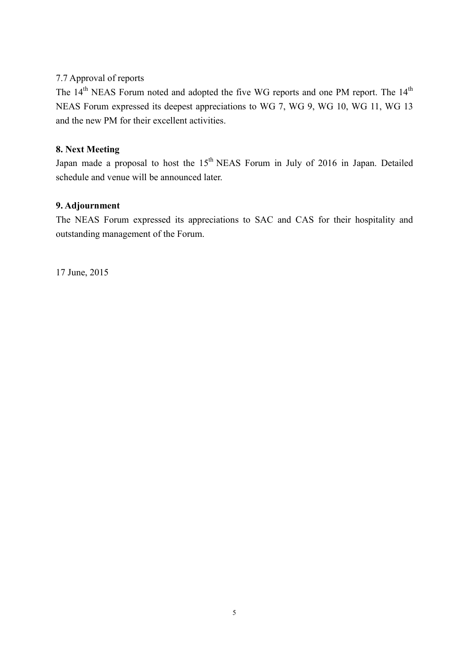### 7.7 Approval of reports

The  $14<sup>th</sup> NEAS$  Forum noted and adopted the five WG reports and one PM report. The  $14<sup>th</sup>$ NEAS Forum expressed its deepest appreciations to WG 7, WG 9, WG 10, WG 11, WG 13 and the new PM for their excellent activities.

## **8. Next Meeting**

Japan made a proposal to host the  $15<sup>th</sup> NEAS$  Forum in July of 2016 in Japan. Detailed schedule and venue will be announced later.

### **9. Adjournment**

The NEAS Forum expressed its appreciations to SAC and CAS for their hospitality and outstanding management of the Forum.

17 June, 2015